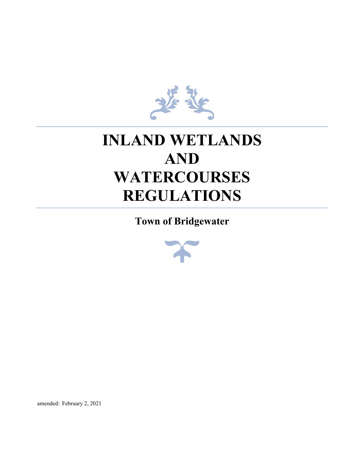

# **INLAND WETLANDS AND WATERCOURSES REGULATIONS**

**Town of Bridgewater**



amended: February 2, 2021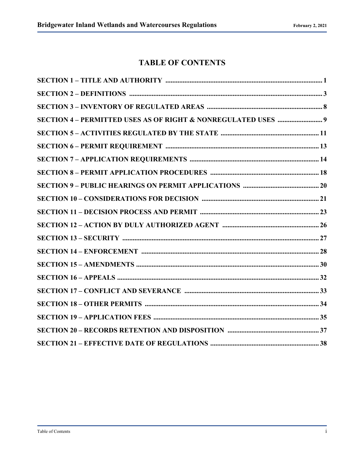# **TABLE OF CONTENTS**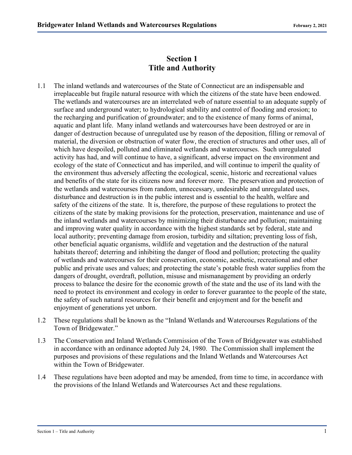#### **Section 1 Title and Authority**

- 1.1 The inland wetlands and watercourses of the State of Connecticut are an indispensable and irreplaceable but fragile natural resource with which the citizens of the state have been endowed. The wetlands and watercourses are an interrelated web of nature essential to an adequate supply of surface and underground water; to hydrological stability and control of flooding and erosion; to the recharging and purification of groundwater; and to the existence of many forms of animal, aquatic and plant life. Many inland wetlands and watercourses have been destroyed or are in danger of destruction because of unregulated use by reason of the deposition, filling or removal of material, the diversion or obstruction of water flow, the erection of structures and other uses, all of which have despoiled, polluted and eliminated wetlands and watercourses. Such unregulated activity has had, and will continue to have, a significant, adverse impact on the environment and ecology of the state of Connecticut and has imperiled, and will continue to imperil the quality of the environment thus adversely affecting the ecological, scenic, historic and recreational values and benefits of the state for its citizens now and forever more. The preservation and protection of the wetlands and watercourses from random, unnecessary, undesirable and unregulated uses, disturbance and destruction is in the public interest and is essential to the health, welfare and safety of the citizens of the state. It is, therefore, the purpose of these regulations to protect the citizens of the state by making provisions for the protection, preservation, maintenance and use of the inland wetlands and watercourses by minimizing their disturbance and pollution; maintaining and improving water quality in accordance with the highest standards set by federal, state and local authority; preventing damage from erosion, turbidity and siltation; preventing loss of fish, other beneficial aquatic organisms, wildlife and vegetation and the destruction of the natural habitats thereof; deterring and inhibiting the danger of flood and pollution; protecting the quality of wetlands and watercourses for their conservation, economic, aesthetic, recreational and other public and private uses and values; and protecting the state's potable fresh water supplies from the dangers of drought, overdraft, pollution, misuse and mismanagement by providing an orderly process to balance the desire for the economic growth of the state and the use of its land with the need to protect its environment and ecology in order to forever guarantee to the people of the state, the safety of such natural resources for their benefit and enjoyment and for the benefit and enjoyment of generations yet unborn.
- 1.2 These regulations shall be known as the "Inland Wetlands and Watercourses Regulations of the Town of Bridgewater."
- 1.3 The Conservation and Inland Wetlands Commission of the Town of Bridgewater was established in accordance with an ordinance adopted July 24, 1980. The Commission shall implement the purposes and provisions of these regulations and the Inland Wetlands and Watercourses Act within the Town of Bridgewater.
- 1.4 These regulations have been adopted and may be amended, from time to time, in accordance with the provisions of the Inland Wetlands and Watercourses Act and these regulations.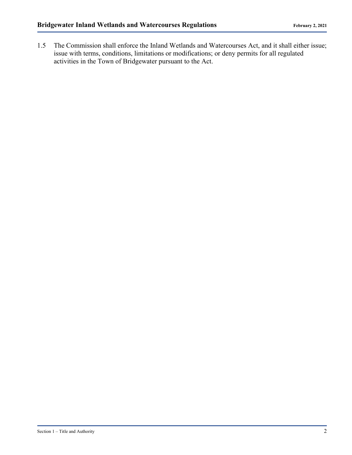1.5 The Commission shall enforce the Inland Wetlands and Watercourses Act, and it shall either issue; issue with terms, conditions, limitations or modifications; or deny permits for all regulated activities in the Town of Bridgewater pursuant to the Act.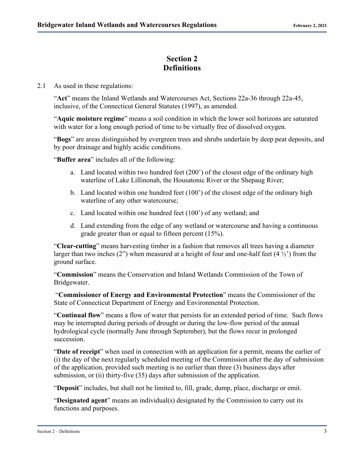#### **Section 2 Definitions**

2.1 As used in these regulations:

"**Act**" means the Inland Wetlands and Watercourses Act, Sections 22a-36 through 22a-45, inclusive, of the Connecticut General Statutes (1997), as amended.

"**Aquic moisture regime**" means a soil condition in which the lower soil horizons are saturated with water for a long enough period of time to be virtually free of dissolved oxygen.

"**Bogs**" are areas distinguished by evergreen trees and shrubs underlain by deep peat deposits, and by poor drainage and highly acidic conditions.

"**Buffer area**" includes all of the following:

- a. Land located within two hundred feet (200') of the closest edge of the ordinary high waterline of Lake Lillinonah, the Housatonic River or the Shepaug River;
- b. Land located within one hundred feet (100') of the closest edge of the ordinary high waterline of any other watercourse;
- c. Land located within one hundred feet (100') of any wetland; and
- d. Land extending from the edge of any wetland or watercourse and having a continuous grade greater than or equal to fifteen percent (15%).

"**Clear-cutting**" means harvesting timber in a fashion that removes all trees having a diameter larger than two inches  $(2)$  when measured at a height of four and one-half feet  $(4\frac{1}{2})$  from the ground surface.

"**Commission**" means the Conservation and Inland Wetlands Commission of the Town of Bridgewater.

"**Commissioner of Energy and Environmental Protection**" means the Commissioner of the State of Connecticut Department of Energy and Environmental Protection.

"**Continual flow**" means a flow of water that persists for an extended period of time. Such flows may be interrupted during periods of drought or during the low-flow period of the annual hydrological cycle (normally June through September), but the flows recur in prolonged succession.

"**Date of receipt**" when used in connection with an application for a permit, means the earlier of (i) the day of the next regularly scheduled meeting of the Commission after the day of submission of the application, provided such meeting is no earlier than three (3) business days after submission, or (ii) thirty-five (35) days after submission of the application.

"**Deposit**" includes, but shall not be limited to, fill, grade, dump, place, discharge or emit.

"**Designated agent**" means an individual(s) designated by the Commission to carry out its functions and purposes.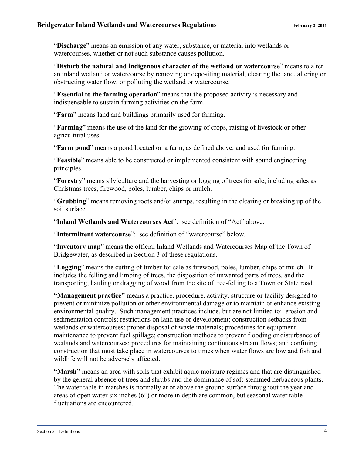"**Discharge**" means an emission of any water, substance, or material into wetlands or watercourses, whether or not such substance causes pollution.

"**Disturb the natural and indigenous character of the wetland or watercourse**" means to alter an inland wetland or watercourse by removing or depositing material, clearing the land, altering or obstructing water flow, or polluting the wetland or watercourse.

"**Essential to the farming operation**" means that the proposed activity is necessary and indispensable to sustain farming activities on the farm.

"**Farm**" means land and buildings primarily used for farming.

"**Farming**" means the use of the land for the growing of crops, raising of livestock or other agricultural uses.

"**Farm pond**" means a pond located on a farm, as defined above, and used for farming.

"**Feasible**" means able to be constructed or implemented consistent with sound engineering principles.

"**Forestry**" means silviculture and the harvesting or logging of trees for sale, including sales as Christmas trees, firewood, poles, lumber, chips or mulch.

"**Grubbing**" means removing roots and/or stumps, resulting in the clearing or breaking up of the soil surface.

"**Inland Wetlands and Watercourses Act**": see definition of "Act" above.

"**Intermittent watercourse**": see definition of "watercourse" below.

"**Inventory map**" means the official Inland Wetlands and Watercourses Map of the Town of Bridgewater, as described in Section 3 of these regulations.

"**Logging**" means the cutting of timber for sale as firewood, poles, lumber, chips or mulch. It includes the felling and limbing of trees, the disposition of unwanted parts of trees, and the transporting, hauling or dragging of wood from the site of tree-felling to a Town or State road.

**"Management practice"** means a practice, procedure, activity, structure or facility designed to prevent or minimize pollution or other environmental damage or to maintain or enhance existing environmental quality. Such management practices include, but are not limited to: erosion and sedimentation controls; restrictions on land use or development; construction setbacks from wetlands or watercourses; proper disposal of waste materials; procedures for equipment maintenance to prevent fuel spillage; construction methods to prevent flooding or disturbance of wetlands and watercourses; procedures for maintaining continuous stream flows; and confining construction that must take place in watercourses to times when water flows are low and fish and wildlife will not be adversely affected.

**"Marsh"** means an area with soils that exhibit aquic moisture regimes and that are distinguished by the general absence of trees and shrubs and the dominance of soft-stemmed herbaceous plants. The water table in marshes is normally at or above the ground surface throughout the year and areas of open water six inches (6") or more in depth are common, but seasonal water table fluctuations are encountered.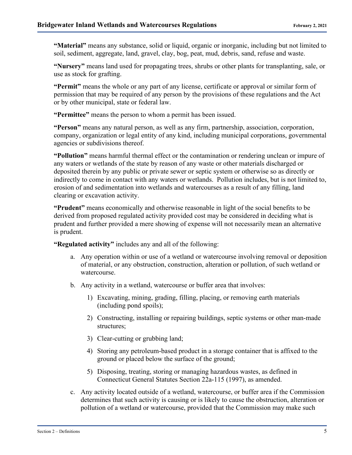**"Material"** means any substance, solid or liquid, organic or inorganic, including but not limited to soil, sediment, aggregate, land, gravel, clay, bog, peat, mud, debris, sand, refuse and waste.

**"Nursery"** means land used for propagating trees, shrubs or other plants for transplanting, sale, or use as stock for grafting.

**"Permit"** means the whole or any part of any license, certificate or approval or similar form of permission that may be required of any person by the provisions of these regulations and the Act or by other municipal, state or federal law.

**"Permittee"** means the person to whom a permit has been issued.

**"Person"** means any natural person, as well as any firm, partnership, association, corporation, company, organization or legal entity of any kind, including municipal corporations, governmental agencies or subdivisions thereof.

**"Pollution"** means harmful thermal effect or the contamination or rendering unclean or impure of any waters or wetlands of the state by reason of any waste or other materials discharged or deposited therein by any public or private sewer or septic system or otherwise so as directly or indirectly to come in contact with any waters or wetlands. Pollution includes, but is not limited to, erosion of and sedimentation into wetlands and watercourses as a result of any filling, land clearing or excavation activity.

**"Prudent"** means economically and otherwise reasonable in light of the social benefits to be derived from proposed regulated activity provided cost may be considered in deciding what is prudent and further provided a mere showing of expense will not necessarily mean an alternative is prudent.

**"Regulated activity"** includes any and all of the following:

- a. Any operation within or use of a wetland or watercourse involving removal or deposition of material, or any obstruction, construction, alteration or pollution, of such wetland or watercourse.
- b. Any activity in a wetland, watercourse or buffer area that involves:
	- 1) Excavating, mining, grading, filling, placing, or removing earth materials (including pond spoils);
	- 2) Constructing, installing or repairing buildings, septic systems or other man-made structures;
	- 3) Clear-cutting or grubbing land;
	- 4) Storing any petroleum-based product in a storage container that is affixed to the ground or placed below the surface of the ground;
	- 5) Disposing, treating, storing or managing hazardous wastes, as defined in Connecticut General Statutes Section 22a-115 (1997), as amended.
- c. Any activity located outside of a wetland, watercourse, or buffer area if the Commission determines that such activity is causing or is likely to cause the obstruction, alteration or pollution of a wetland or watercourse, provided that the Commission may make such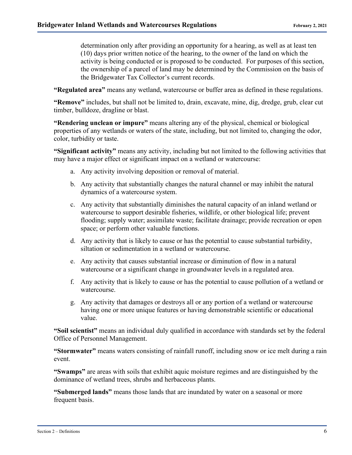determination only after providing an opportunity for a hearing, as well as at least ten (10) days prior written notice of the hearing, to the owner of the land on which the activity is being conducted or is proposed to be conducted. For purposes of this section, the ownership of a parcel of land may be determined by the Commission on the basis of the Bridgewater Tax Collector's current records.

**"Regulated area"** means any wetland, watercourse or buffer area as defined in these regulations.

**"Remove"** includes, but shall not be limited to, drain, excavate, mine, dig, dredge, grub, clear cut timber, bulldoze, dragline or blast.

**"Rendering unclean or impure"** means altering any of the physical, chemical or biological properties of any wetlands or waters of the state, including, but not limited to, changing the odor, color, turbidity or taste.

**"Significant activity"** means any activity, including but not limited to the following activities that may have a major effect or significant impact on a wetland or watercourse:

- a. Any activity involving deposition or removal of material.
- b. Any activity that substantially changes the natural channel or may inhibit the natural dynamics of a watercourse system.
- c. Any activity that substantially diminishes the natural capacity of an inland wetland or watercourse to support desirable fisheries, wildlife, or other biological life; prevent flooding; supply water; assimilate waste; facilitate drainage; provide recreation or open space; or perform other valuable functions.
- d. Any activity that is likely to cause or has the potential to cause substantial turbidity, siltation or sedimentation in a wetland or watercourse.
- e. Any activity that causes substantial increase or diminution of flow in a natural watercourse or a significant change in groundwater levels in a regulated area.
- f. Any activity that is likely to cause or has the potential to cause pollution of a wetland or watercourse.
- g. Any activity that damages or destroys all or any portion of a wetland or watercourse having one or more unique features or having demonstrable scientific or educational value.

**"Soil scientist"** means an individual duly qualified in accordance with standards set by the federal Office of Personnel Management.

**"Stormwater"** means waters consisting of rainfall runoff, including snow or ice melt during a rain event.

**"Swamps"** are areas with soils that exhibit aquic moisture regimes and are distinguished by the dominance of wetland trees, shrubs and herbaceous plants.

**"Submerged lands"** means those lands that are inundated by water on a seasonal or more frequent basis.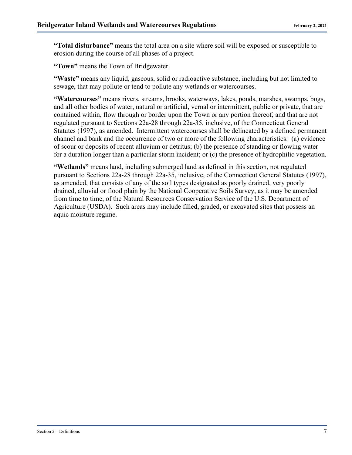**"Total disturbance"** means the total area on a site where soil will be exposed or susceptible to erosion during the course of all phases of a project.

**"Town"** means the Town of Bridgewater.

**"Waste"** means any liquid, gaseous, solid or radioactive substance, including but not limited to sewage, that may pollute or tend to pollute any wetlands or watercourses.

**"Watercourses"** means rivers, streams, brooks, waterways, lakes, ponds, marshes, swamps, bogs, and all other bodies of water, natural or artificial, vernal or intermittent, public or private, that are contained within, flow through or border upon the Town or any portion thereof, and that are not regulated pursuant to Sections 22a-28 through 22a-35, inclusive, of the Connecticut General Statutes (1997), as amended. Intermittent watercourses shall be delineated by a defined permanent channel and bank and the occurrence of two or more of the following characteristics: (a) evidence of scour or deposits of recent alluvium or detritus; (b) the presence of standing or flowing water for a duration longer than a particular storm incident; or (c) the presence of hydrophilic vegetation.

**"Wetlands"** means land, including submerged land as defined in this section, not regulated pursuant to Sections 22a-28 through 22a-35, inclusive, of the Connecticut General Statutes (1997), as amended, that consists of any of the soil types designated as poorly drained, very poorly drained, alluvial or flood plain by the National Cooperative Soils Survey, as it may be amended from time to time, of the Natural Resources Conservation Service of the U.S. Department of Agriculture (USDA). Such areas may include filled, graded, or excavated sites that possess an aquic moisture regime.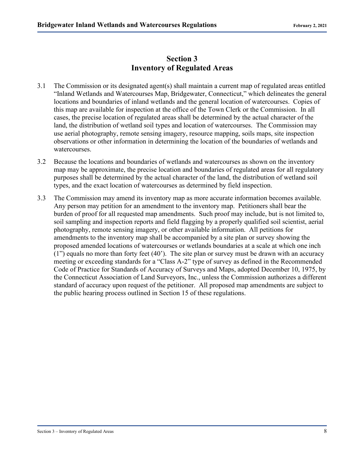#### **Section 3 Inventory of Regulated Areas**

- 3.1 The Commission or its designated agent(s) shall maintain a current map of regulated areas entitled "Inland Wetlands and Watercourses Map, Bridgewater, Connecticut," which delineates the general locations and boundaries of inland wetlands and the general location of watercourses. Copies of this map are available for inspection at the office of the Town Clerk or the Commission. In all cases, the precise location of regulated areas shall be determined by the actual character of the land, the distribution of wetland soil types and location of watercourses. The Commission may use aerial photography, remote sensing imagery, resource mapping, soils maps, site inspection observations or other information in determining the location of the boundaries of wetlands and watercourses.
- 3.2 Because the locations and boundaries of wetlands and watercourses as shown on the inventory map may be approximate, the precise location and boundaries of regulated areas for all regulatory purposes shall be determined by the actual character of the land, the distribution of wetland soil types, and the exact location of watercourses as determined by field inspection.
- 3.3 The Commission may amend its inventory map as more accurate information becomes available. Any person may petition for an amendment to the inventory map. Petitioners shall bear the burden of proof for all requested map amendments. Such proof may include, but is not limited to, soil sampling and inspection reports and field flagging by a properly qualified soil scientist, aerial photography, remote sensing imagery, or other available information. All petitions for amendments to the inventory map shall be accompanied by a site plan or survey showing the proposed amended locations of watercourses or wetlands boundaries at a scale at which one inch (1") equals no more than forty feet (40'). The site plan or survey must be drawn with an accuracy meeting or exceeding standards for a "Class A-2" type of survey as defined in the Recommended Code of Practice for Standards of Accuracy of Surveys and Maps, adopted December 10, 1975, by the Connecticut Association of Land Surveyors, Inc., unless the Commission authorizes a different standard of accuracy upon request of the petitioner. All proposed map amendments are subject to the public hearing process outlined in Section 15 of these regulations.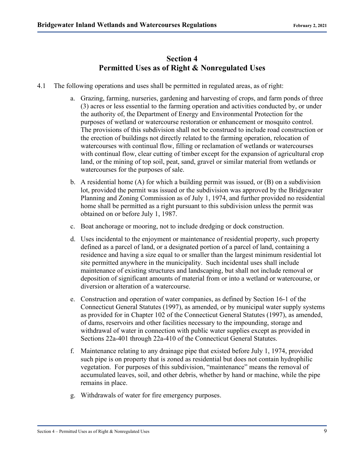#### **Section 4 Permitted Uses as of Right & Nonregulated Uses**

- 4.1 The following operations and uses shall be permitted in regulated areas, as of right:
	- a. Grazing, farming, nurseries, gardening and harvesting of crops, and farm ponds of three (3) acres or less essential to the farming operation and activities conducted by, or under the authority of, the Department of Energy and Environmental Protection for the purposes of wetland or watercourse restoration or enhancement or mosquito control. The provisions of this subdivision shall not be construed to include road construction or the erection of buildings not directly related to the farming operation, relocation of watercourses with continual flow, filling or reclamation of wetlands or watercourses with continual flow, clear cutting of timber except for the expansion of agricultural crop land, or the mining of top soil, peat, sand, gravel or similar material from wetlands or watercourses for the purposes of sale.
	- b. A residential home  $(A)$  for which a building permit was issued, or  $(B)$  on a subdivision lot, provided the permit was issued or the subdivision was approved by the Bridgewater Planning and Zoning Commission as of July 1, 1974, and further provided no residential home shall be permitted as a right pursuant to this subdivision unless the permit was obtained on or before July 1, 1987.
	- c. Boat anchorage or mooring, not to include dredging or dock construction.
	- d. Uses incidental to the enjoyment or maintenance of residential property, such property defined as a parcel of land, or a designated portion of a parcel of land, containing a residence and having a size equal to or smaller than the largest minimum residential lot site permitted anywhere in the municipality. Such incidental uses shall include maintenance of existing structures and landscaping, but shall not include removal or deposition of significant amounts of material from or into a wetland or watercourse, or diversion or alteration of a watercourse.
	- e. Construction and operation of water companies, as defined by Section 16-1 of the Connecticut General Statutes (1997), as amended, or by municipal water supply systems as provided for in Chapter 102 of the Connecticut General Statutes (1997), as amended, of dams, reservoirs and other facilities necessary to the impounding, storage and withdrawal of water in connection with public water supplies except as provided in Sections 22a-401 through 22a-410 of the Connecticut General Statutes.
	- f. Maintenance relating to any drainage pipe that existed before July 1, 1974, provided such pipe is on property that is zoned as residential but does not contain hydrophilic vegetation. For purposes of this subdivision, "maintenance" means the removal of accumulated leaves, soil, and other debris, whether by hand or machine, while the pipe remains in place.
	- g. Withdrawals of water for fire emergency purposes.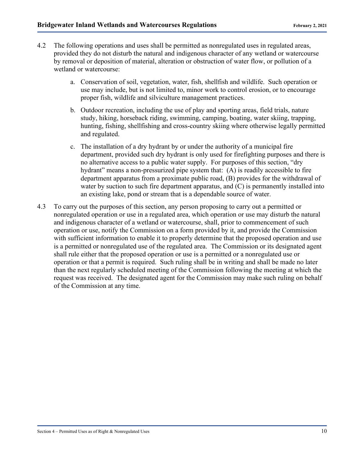- 4.2 The following operations and uses shall be permitted as nonregulated uses in regulated areas, provided they do not disturb the natural and indigenous character of any wetland or watercourse by removal or deposition of material, alteration or obstruction of water flow, or pollution of a wetland or watercourse:
	- a. Conservation of soil, vegetation, water, fish, shellfish and wildlife. Such operation or use may include, but is not limited to, minor work to control erosion, or to encourage proper fish, wildlife and silviculture management practices.
	- b. Outdoor recreation, including the use of play and sporting areas, field trials, nature study, hiking, horseback riding, swimming, camping, boating, water skiing, trapping, hunting, fishing, shellfishing and cross-country skiing where otherwise legally permitted and regulated.
	- c. The installation of a dry hydrant by or under the authority of a municipal fire department, provided such dry hydrant is only used for firefighting purposes and there is no alternative access to a public water supply. For purposes of this section, "dry hydrant" means a non-pressurized pipe system that: (A) is readily accessible to fire department apparatus from a proximate public road, (B) provides for the withdrawal of water by suction to such fire department apparatus, and (C) is permanently installed into an existing lake, pond or stream that is a dependable source of water.
- 4.3 To carry out the purposes of this section, any person proposing to carry out a permitted or nonregulated operation or use in a regulated area, which operation or use may disturb the natural and indigenous character of a wetland or watercourse, shall, prior to commencement of such operation or use, notify the Commission on a form provided by it, and provide the Commission with sufficient information to enable it to properly determine that the proposed operation and use is a permitted or nonregulated use of the regulated area. The Commission or its designated agent shall rule either that the proposed operation or use is a permitted or a nonregulated use or operation or that a permit is required. Such ruling shall be in writing and shall be made no later than the next regularly scheduled meeting of the Commission following the meeting at which the request was received. The designated agent for the Commission may make such ruling on behalf of the Commission at any time.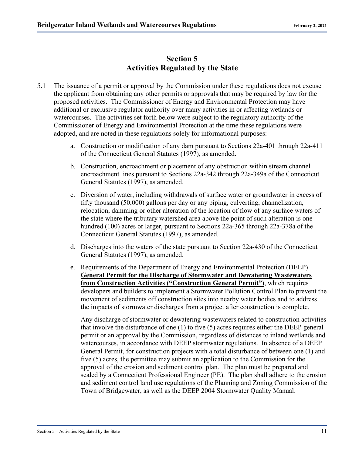#### **Section 5 Activities Regulated by the State**

- 5.1 The issuance of a permit or approval by the Commission under these regulations does not excuse the applicant from obtaining any other permits or approvals that may be required by law for the proposed activities. The Commissioner of Energy and Environmental Protection may have additional or exclusive regulator authority over many activities in or affecting wetlands or watercourses. The activities set forth below were subject to the regulatory authority of the Commissioner of Energy and Environmental Protection at the time these regulations were adopted, and are noted in these regulations solely for informational purposes:
	- a. Construction or modification of any dam pursuant to Sections 22a-401 through 22a-411 of the Connecticut General Statutes (1997), as amended.
	- b. Construction, encroachment or placement of any obstruction within stream channel encroachment lines pursuant to Sections 22a-342 through 22a-349a of the Connecticut General Statutes (1997), as amended.
	- c. Diversion of water, including withdrawals of surface water or groundwater in excess of fifty thousand (50,000) gallons per day or any piping, culverting, channelization, relocation, damming or other alteration of the location of flow of any surface waters of the state where the tributary watershed area above the point of such alteration is one hundred (100) acres or larger, pursuant to Sections 22a-365 through 22a-378a of the Connecticut General Statutes (1997), as amended.
	- d. Discharges into the waters of the state pursuant to Section 22a-430 of the Connecticut General Statutes (1997), as amended.
	- e. Requirements of the Department of Energy and Environmental Protection (DEEP) **General Permit for the Discharge of Stormwater and Dewatering Wastewaters from Construction Activities ("Construction General Permit")**, which requires developers and builders to implement a Stormwater Pollution Control Plan to prevent the movement of sediments off construction sites into nearby water bodies and to address the impacts of stormwater discharges from a project after construction is complete.

Any discharge of stormwater or dewatering wastewaters related to construction activities that involve the disturbance of one (1) to five (5) acres requires either the DEEP general permit or an approval by the Commission, regardless of distances to inland wetlands and watercourses, in accordance with DEEP stormwater regulations. In absence of a DEEP General Permit, for construction projects with a total disturbance of between one (1) and five (5) acres, the permittee may submit an application to the Commission for the approval of the erosion and sediment control plan. The plan must be prepared and sealed by a Connecticut Professional Engineer (PE). The plan shall adhere to the erosion and sediment control land use regulations of the Planning and Zoning Commission of the Town of Bridgewater, as well as the DEEP 2004 Stormwater Quality Manual.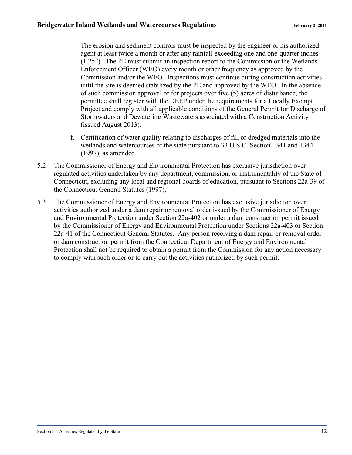The erosion and sediment controls must be inspected by the engineer or his authorized agent at least twice a month or after any rainfall exceeding one and one-quarter inches (1.25"). The PE must submit an inspection report to the Commission or the Wetlands Enforcement Officer (WEO) every month or other frequency as approved by the Commission and/or the WEO. Inspections must continue during construction activities until the site is deemed stabilized by the PE and approved by the WEO. In the absence of such commission approval or for projects over five (5) acres of disturbance, the permittee shall register with the DEEP under the requirements for a Locally Exempt Project and comply with all applicable conditions of the General Permit for Discharge of Stormwaters and Dewatering Wastewaters associated with a Construction Activity (issued August 2013).

- f. Certification of water quality relating to discharges of fill or dredged materials into the wetlands and watercourses of the state pursuant to 33 U.S.C. Section 1341 and 1344 (1997), as amended.
- 5.2 The Commissioner of Energy and Environmental Protection has exclusive jurisdiction over regulated activities undertaken by any department, commission, or instrumentality of the State of Connecticut, excluding any local and regional boards of education, pursuant to Sections 22a-39 of the Connecticut General Statutes (1997).
- 5.3 The Commissioner of Energy and Environmental Protection has exclusive jurisdiction over activities authorized under a dam repair or removal order issued by the Commissioner of Energy and Environmental Protection under Section 22a-402 or under a dam construction permit issued by the Commissioner of Energy and Environmental Protection under Sections 22a-403 or Section 22a-41 of the Connecticut General Statutes. Any person receiving a dam repair or removal order or dam construction permit from the Connecticut Department of Energy and Environmental Protection shall not be required to obtain a permit from the Commission for any action necessary to comply with such order or to carry out the activities authorized by such permit.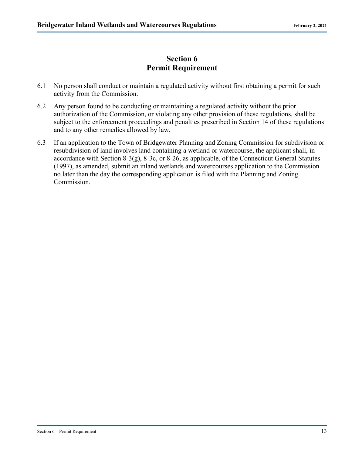#### **Section 6 Permit Requirement**

- 6.1 No person shall conduct or maintain a regulated activity without first obtaining a permit for such activity from the Commission.
- 6.2 Any person found to be conducting or maintaining a regulated activity without the prior authorization of the Commission, or violating any other provision of these regulations, shall be subject to the enforcement proceedings and penalties prescribed in Section 14 of these regulations and to any other remedies allowed by law.
- 6.3 If an application to the Town of Bridgewater Planning and Zoning Commission for subdivision or resubdivision of land involves land containing a wetland or watercourse, the applicant shall, in accordance with Section 8-3(g), 8-3c, or 8-26, as applicable, of the Connecticut General Statutes (1997), as amended, submit an inland wetlands and watercourses application to the Commission no later than the day the corresponding application is filed with the Planning and Zoning Commission.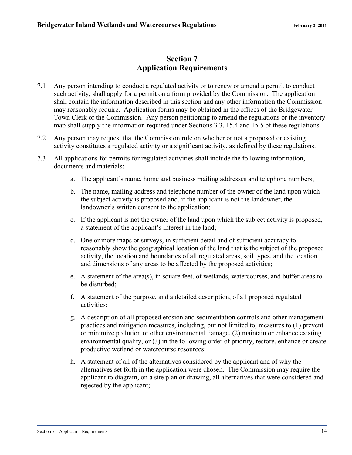#### **Section 7 Application Requirements**

- 7.1 Any person intending to conduct a regulated activity or to renew or amend a permit to conduct such activity, shall apply for a permit on a form provided by the Commission. The application shall contain the information described in this section and any other information the Commission may reasonably require. Application forms may be obtained in the offices of the Bridgewater Town Clerk or the Commission. Any person petitioning to amend the regulations or the inventory map shall supply the information required under Sections 3.3, 15.4 and 15.5 of these regulations.
- 7.2 Any person may request that the Commission rule on whether or not a proposed or existing activity constitutes a regulated activity or a significant activity, as defined by these regulations.
- 7.3 All applications for permits for regulated activities shall include the following information, documents and materials:
	- a. The applicant's name, home and business mailing addresses and telephone numbers;
	- b. The name, mailing address and telephone number of the owner of the land upon which the subject activity is proposed and, if the applicant is not the landowner, the landowner's written consent to the application;
	- c. If the applicant is not the owner of the land upon which the subject activity is proposed, a statement of the applicant's interest in the land;
	- d. One or more maps or surveys, in sufficient detail and of sufficient accuracy to reasonably show the geographical location of the land that is the subject of the proposed activity, the location and boundaries of all regulated areas, soil types, and the location and dimensions of any areas to be affected by the proposed activities;
	- e. A statement of the area(s), in square feet, of wetlands, watercourses, and buffer areas to be disturbed;
	- f. A statement of the purpose, and a detailed description, of all proposed regulated activities;
	- g. A description of all proposed erosion and sedimentation controls and other management practices and mitigation measures, including, but not limited to, measures to (1) prevent or minimize pollution or other environmental damage, (2) maintain or enhance existing environmental quality, or (3) in the following order of priority, restore, enhance or create productive wetland or watercourse resources;
	- h. A statement of all of the alternatives considered by the applicant and of why the alternatives set forth in the application were chosen. The Commission may require the applicant to diagram, on a site plan or drawing, all alternatives that were considered and rejected by the applicant;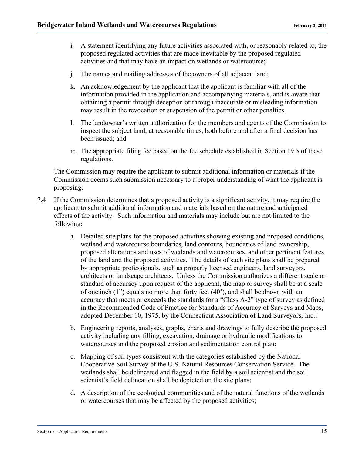- i. A statement identifying any future activities associated with, or reasonably related to, the proposed regulated activities that are made inevitable by the proposed regulated activities and that may have an impact on wetlands or watercourse;
- j. The names and mailing addresses of the owners of all adjacent land;
- k. An acknowledgement by the applicant that the applicant is familiar with all of the information provided in the application and accompanying materials, and is aware that obtaining a permit through deception or through inaccurate or misleading information may result in the revocation or suspension of the permit or other penalties.
- l. The landowner's written authorization for the members and agents of the Commission to inspect the subject land, at reasonable times, both before and after a final decision has been issued; and
- m. The appropriate filing fee based on the fee schedule established in Section 19.5 of these regulations.

The Commission may require the applicant to submit additional information or materials if the Commission deems such submission necessary to a proper understanding of what the applicant is proposing.

- 7.4 If the Commission determines that a proposed activity is a significant activity, it may require the applicant to submit additional information and materials based on the nature and anticipated effects of the activity. Such information and materials may include but are not limited to the following:
	- a. Detailed site plans for the proposed activities showing existing and proposed conditions, wetland and watercourse boundaries, land contours, boundaries of land ownership, proposed alterations and uses of wetlands and watercourses, and other pertinent features of the land and the proposed activities. The details of such site plans shall be prepared by appropriate professionals, such as properly licensed engineers, land surveyors, architects or landscape architects. Unless the Commission authorizes a different scale or standard of accuracy upon request of the applicant, the map or survey shall be at a scale of one inch (1") equals no more than forty feet (40'), and shall be drawn with an accuracy that meets or exceeds the standards for a "Class A-2" type of survey as defined in the Recommended Code of Practice for Standards of Accuracy of Surveys and Maps, adopted December 10, 1975, by the Connecticut Association of Land Surveyors, Inc.;
	- b. Engineering reports, analyses, graphs, charts and drawings to fully describe the proposed activity including any filling, excavation, drainage or hydraulic modifications to watercourses and the proposed erosion and sedimentation control plan;
	- c. Mapping of soil types consistent with the categories established by the National Cooperative Soil Survey of the U.S. Natural Resources Conservation Service. The wetlands shall be delineated and flagged in the field by a soil scientist and the soil scientist's field delineation shall be depicted on the site plans;
	- d. A description of the ecological communities and of the natural functions of the wetlands or watercourses that may be affected by the proposed activities;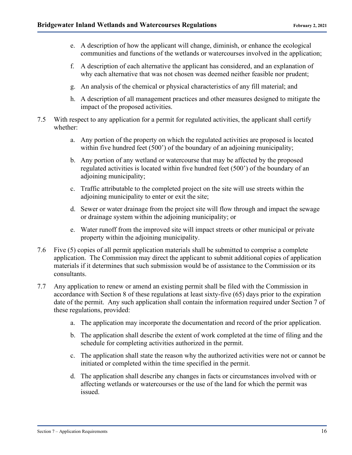- e. A description of how the applicant will change, diminish, or enhance the ecological communities and functions of the wetlands or watercourses involved in the application;
- f. A description of each alternative the applicant has considered, and an explanation of why each alternative that was not chosen was deemed neither feasible nor prudent;
- g. An analysis of the chemical or physical characteristics of any fill material; and
- h. A description of all management practices and other measures designed to mitigate the impact of the proposed activities.
- 7.5 With respect to any application for a permit for regulated activities, the applicant shall certify whether:
	- a. Any portion of the property on which the regulated activities are proposed is located within five hundred feet (500') of the boundary of an adjoining municipality;
	- b. Any portion of any wetland or watercourse that may be affected by the proposed regulated activities is located within five hundred feet (500') of the boundary of an adjoining municipality;
	- c. Traffic attributable to the completed project on the site will use streets within the adjoining municipality to enter or exit the site;
	- d. Sewer or water drainage from the project site will flow through and impact the sewage or drainage system within the adjoining municipality; or
	- e. Water runoff from the improved site will impact streets or other municipal or private property within the adjoining municipality.
- 7.6 Five (5) copies of all permit application materials shall be submitted to comprise a complete application. The Commission may direct the applicant to submit additional copies of application materials if it determines that such submission would be of assistance to the Commission or its consultants.
- 7.7 Any application to renew or amend an existing permit shall be filed with the Commission in accordance with Section 8 of these regulations at least sixty-five (65) days prior to the expiration date of the permit. Any such application shall contain the information required under Section 7 of these regulations, provided:
	- a. The application may incorporate the documentation and record of the prior application.
	- b. The application shall describe the extent of work completed at the time of filing and the schedule for completing activities authorized in the permit.
	- c. The application shall state the reason why the authorized activities were not or cannot be initiated or completed within the time specified in the permit.
	- d. The application shall describe any changes in facts or circumstances involved with or affecting wetlands or watercourses or the use of the land for which the permit was issued.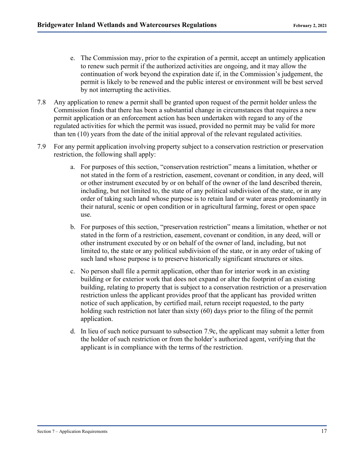- e. The Commission may, prior to the expiration of a permit, accept an untimely application to renew such permit if the authorized activities are ongoing, and it may allow the continuation of work beyond the expiration date if, in the Commission's judgement, the permit is likely to be renewed and the public interest or environment will be best served by not interrupting the activities.
- 7.8 Any application to renew a permit shall be granted upon request of the permit holder unless the Commission finds that there has been a substantial change in circumstances that requires a new permit application or an enforcement action has been undertaken with regard to any of the regulated activities for which the permit was issued, provided no permit may be valid for more than ten (10) years from the date of the initial approval of the relevant regulated activities.
- 7.9 For any permit application involving property subject to a conservation restriction or preservation restriction, the following shall apply:
	- a. For purposes of this section, "conservation restriction" means a limitation, whether or not stated in the form of a restriction, easement, covenant or condition, in any deed, will or other instrument executed by or on behalf of the owner of the land described therein, including, but not limited to, the state of any political subdivision of the state, or in any order of taking such land whose purpose is to retain land or water areas predominantly in their natural, scenic or open condition or in agricultural farming, forest or open space use.
	- b. For purposes of this section, "preservation restriction" means a limitation, whether or not stated in the form of a restriction, easement, covenant or condition, in any deed, will or other instrument executed by or on behalf of the owner of land, including, but not limited to, the state or any political subdivision of the state, or in any order of taking of such land whose purpose is to preserve historically significant structures or sites.
	- c. No person shall file a permit application, other than for interior work in an existing building or for exterior work that does not expand or alter the footprint of an existing building, relating to property that is subject to a conservation restriction or a preservation restriction unless the applicant provides proof that the applicant has provided written notice of such application, by certified mail, return receipt requested, to the party holding such restriction not later than sixty (60) days prior to the filing of the permit application.
	- d. In lieu of such notice pursuant to subsection 7.9c, the applicant may submit a letter from the holder of such restriction or from the holder's authorized agent, verifying that the applicant is in compliance with the terms of the restriction.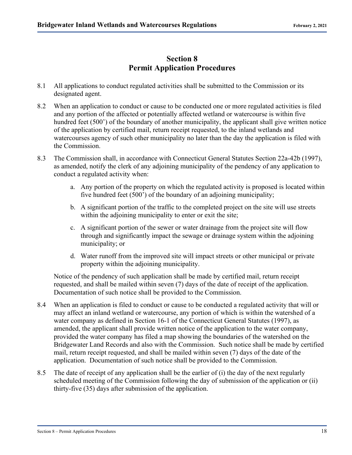#### **Section 8 Permit Application Procedures**

- 8.1 All applications to conduct regulated activities shall be submitted to the Commission or its designated agent.
- 8.2 When an application to conduct or cause to be conducted one or more regulated activities is filed and any portion of the affected or potentially affected wetland or watercourse is within five hundred feet (500') of the boundary of another municipality, the applicant shall give written notice of the application by certified mail, return receipt requested, to the inland wetlands and watercourses agency of such other municipality no later than the day the application is filed with the Commission.
- 8.3 The Commission shall, in accordance with Connecticut General Statutes Section 22a-42b (1997), as amended, notify the clerk of any adjoining municipality of the pendency of any application to conduct a regulated activity when:
	- a. Any portion of the property on which the regulated activity is proposed is located within five hundred feet (500') of the boundary of an adjoining municipality;
	- b. A significant portion of the traffic to the completed project on the site will use streets within the adjoining municipality to enter or exit the site;
	- c. A significant portion of the sewer or water drainage from the project site will flow through and significantly impact the sewage or drainage system within the adjoining municipality; or
	- d. Water runoff from the improved site will impact streets or other municipal or private property within the adjoining municipality.

Notice of the pendency of such application shall be made by certified mail, return receipt requested, and shall be mailed within seven (7) days of the date of receipt of the application. Documentation of such notice shall be provided to the Commission.

- 8.4 When an application is filed to conduct or cause to be conducted a regulated activity that will or may affect an inland wetland or watercourse, any portion of which is within the watershed of a water company as defined in Section 16-1 of the Connecticut General Statutes (1997), as amended, the applicant shall provide written notice of the application to the water company, provided the water company has filed a map showing the boundaries of the watershed on the Bridgewater Land Records and also with the Commission. Such notice shall be made by certified mail, return receipt requested, and shall be mailed within seven (7) days of the date of the application. Documentation of such notice shall be provided to the Commission.
- 8.5 The date of receipt of any application shall be the earlier of (i) the day of the next regularly scheduled meeting of the Commission following the day of submission of the application or (ii) thirty-five (35) days after submission of the application.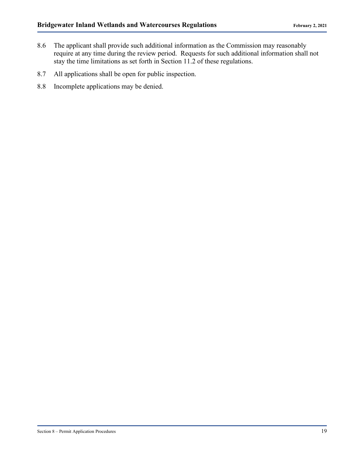- 8.6 The applicant shall provide such additional information as the Commission may reasonably require at any time during the review period. Requests for such additional information shall not stay the time limitations as set forth in Section 11.2 of these regulations.
- 8.7 All applications shall be open for public inspection.
- 8.8 Incomplete applications may be denied.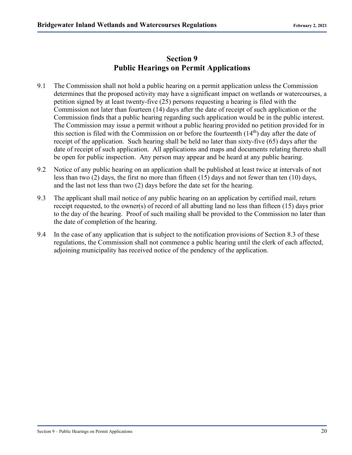#### **Section 9 Public Hearings on Permit Applications**

- 9.1 The Commission shall not hold a public hearing on a permit application unless the Commission determines that the proposed activity may have a significant impact on wetlands or watercourses, a petition signed by at least twenty-five (25) persons requesting a hearing is filed with the Commission not later than fourteen (14) days after the date of receipt of such application or the Commission finds that a public hearing regarding such application would be in the public interest. The Commission may issue a permit without a public hearing provided no petition provided for in this section is filed with the Commission on or before the fourteenth  $(14<sup>th</sup>)$  day after the date of receipt of the application. Such hearing shall be held no later than sixty-five (65) days after the date of receipt of such application. All applications and maps and documents relating thereto shall be open for public inspection. Any person may appear and be heard at any public hearing.
- 9.2 Notice of any public hearing on an application shall be published at least twice at intervals of not less than two (2) days, the first no more than fifteen (15) days and not fewer than ten (10) days, and the last not less than two (2) days before the date set for the hearing.
- 9.3 The applicant shall mail notice of any public hearing on an application by certified mail, return receipt requested, to the owner(s) of record of all abutting land no less than fifteen (15) days prior to the day of the hearing. Proof of such mailing shall be provided to the Commission no later than the date of completion of the hearing.
- 9.4 In the case of any application that is subject to the notification provisions of Section 8.3 of these regulations, the Commission shall not commence a public hearing until the clerk of each affected, adjoining municipality has received notice of the pendency of the application.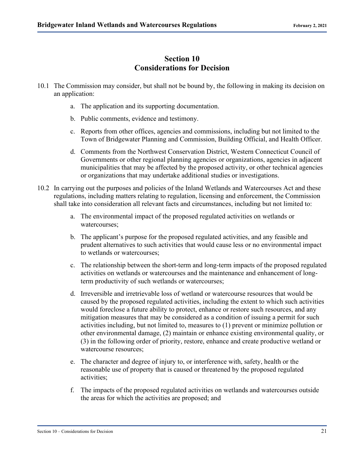#### **Section 10 Considerations for Decision**

- 10.1 The Commission may consider, but shall not be bound by, the following in making its decision on an application:
	- a. The application and its supporting documentation.
	- b. Public comments, evidence and testimony.
	- c. Reports from other offices, agencies and commissions, including but not limited to the Town of Bridgewater Planning and Commission, Building Official, and Health Officer.
	- d. Comments from the Northwest Conservation District, Western Connecticut Council of Governments or other regional planning agencies or organizations, agencies in adjacent municipalities that may be affected by the proposed activity, or other technical agencies or organizations that may undertake additional studies or investigations.
- 10.2 In carrying out the purposes and policies of the Inland Wetlands and Watercourses Act and these regulations, including matters relating to regulation, licensing and enforcement, the Commission shall take into consideration all relevant facts and circumstances, including but not limited to:
	- a. The environmental impact of the proposed regulated activities on wetlands or watercourses;
	- b. The applicant's purpose for the proposed regulated activities, and any feasible and prudent alternatives to such activities that would cause less or no environmental impact to wetlands or watercourses;
	- c. The relationship between the short-term and long-term impacts of the proposed regulated activities on wetlands or watercourses and the maintenance and enhancement of longterm productivity of such wetlands or watercourses;
	- d. Irreversible and irretrievable loss of wetland or watercourse resources that would be caused by the proposed regulated activities, including the extent to which such activities would foreclose a future ability to protect, enhance or restore such resources, and any mitigation measures that may be considered as a condition of issuing a permit for such activities including, but not limited to, measures to (1) prevent or minimize pollution or other environmental damage, (2) maintain or enhance existing environmental quality, or (3) in the following order of priority, restore, enhance and create productive wetland or watercourse resources;
	- e. The character and degree of injury to, or interference with, safety, health or the reasonable use of property that is caused or threatened by the proposed regulated activities;
	- f. The impacts of the proposed regulated activities on wetlands and watercourses outside the areas for which the activities are proposed; and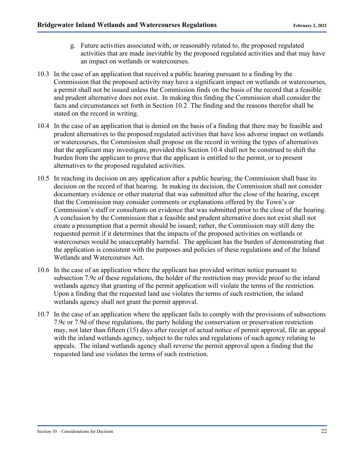- g. Future activities associated with, or reasonably related to, the proposed regulated activities that are made inevitable by the proposed regulated activities and that may have an impact on wetlands or watercourses.
- 10.3 In the case of an application that received a public hearing pursuant to a finding by the Commission that the proposed activity may have a significant impact on wetlands or watercourses, a permit shall not be issued unless the Commission finds on the basis of the record that a feasible and prudent alternative does not exist. In making this finding the Commission shall consider the facts and circumstances set forth in Section 10.2 The finding and the reasons therefor shall be stated on the record in writing.
- 10.4 In the case of an application that is denied on the basis of a finding that there may be feasible and prudent alternatives to the proposed regulated activities that have less adverse impact on wetlands or watercourses, the Commission shall propose on the record in writing the types of alternatives that the applicant may investigate, provided this Section 10.4 shall not be construed to shift the burden from the applicant to prove that the applicant is entitled to the permit, or to present alternatives to the proposed regulated activities.
- 10.5 In reaching its decision on any application after a public hearing, the Commission shall base its decision on the record of that hearing. In making its decision, the Commission shall not consider documentary evidence or other material that was submitted after the close of the hearing, except that the Commission may consider comments or explanations offered by the Town's or Commission's staff or consultants on evidence that was submitted prior to the close of the hearing. A conclusion by the Commission that a feasible and prudent alternative does not exist shall not create a presumption that a permit should be issued; rather, the Commission may still deny the requested permit if it determines that the impacts of the proposed activities on wetlands or watercourses would be unacceptably harmful. The applicant has the burden of demonstrating that the application is consistent with the purposes and policies of these regulations and of the Inland Wetlands and Watercourses Act.
- 10.6 In the case of an application where the applicant has provided written notice pursuant to subsection 7.9c of these regulations, the holder of the restriction may provide proof to the inland wetlands agency that granting of the permit application will violate the terms of the restriction. Upon a finding that the requested land use violates the terms of such restriction, the inland wetlands agency shall not grant the permit approval.
- 10.7 In the case of an application where the applicant fails to comply with the provisions of subsections 7.9c or 7.9d of these regulations, the party holding the conservation or preservation restriction may, not later than fifteen (15) days after receipt of actual notice of permit approval, file an appeal with the inland wetlands agency, subject to the rules and regulations of such agency relating to appeals. The inland wetlands agency shall reverse the permit approval upon a finding that the requested land use violates the terms of such restriction.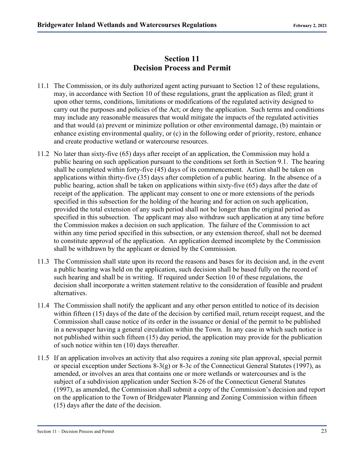#### **Section 11 Decision Process and Permit**

- 11.1 The Commission, or its duly authorized agent acting pursuant to Section 12 of these regulations, may, in accordance with Section 10 of these regulations, grant the application as filed; grant it upon other terms, conditions, limitations or modifications of the regulated activity designed to carry out the purposes and policies of the Act; or deny the application. Such terms and conditions may include any reasonable measures that would mitigate the impacts of the regulated activities and that would (a) prevent or minimize pollution or other environmental damage, (b) maintain or enhance existing environmental quality, or (c) in the following order of priority, restore, enhance and create productive wetland or watercourse resources.
- 11.2 No later than sixty-five (65) days after receipt of an application, the Commission may hold a public hearing on such application pursuant to the conditions set forth in Section 9.1. The hearing shall be completed within forty-five (45) days of its commencement. Action shall be taken on applications within thirty-five (35) days after completion of a public hearing. In the absence of a public hearing, action shall be taken on applications within sixty-five (65) days after the date of receipt of the application. The applicant may consent to one or more extensions of the periods specified in this subsection for the holding of the hearing and for action on such application, provided the total extension of any such period shall not be longer than the original period as specified in this subsection. The applicant may also withdraw such application at any time before the Commission makes a decision on such application. The failure of the Commission to act within any time period specified in this subsection, or any extension thereof, shall not be deemed to constitute approval of the application. An application deemed incomplete by the Commission shall be withdrawn by the applicant or denied by the Commission.
- 11.3 The Commission shall state upon its record the reasons and bases for its decision and, in the event a public hearing was held on the application, such decision shall be based fully on the record of such hearing and shall be in writing. If required under Section 10 of these regulations, the decision shall incorporate a written statement relative to the consideration of feasible and prudent alternatives.
- 11.4 The Commission shall notify the applicant and any other person entitled to notice of its decision within fifteen (15) days of the date of the decision by certified mail, return receipt request, and the Commission shall cause notice of its order in the issuance or denial of the permit to be published in a newspaper having a general circulation within the Town. In any case in which such notice is not published within such fifteen (15) day period, the application may provide for the publication of such notice within ten (10) days thereafter.
- 11.5 If an application involves an activity that also requires a zoning site plan approval, special permit or special exception under Sections 8-3(g) or 8-3c of the Connecticut General Statutes (1997), as amended, or involves an area that contains one or more wetlands or watercourses and is the subject of a subdivision application under Section 8-26 of the Connecticut General Statutes (1997), as amended, the Commission shall submit a copy of the Commission's decision and report on the application to the Town of Bridgewater Planning and Zoning Commission within fifteen (15) days after the date of the decision.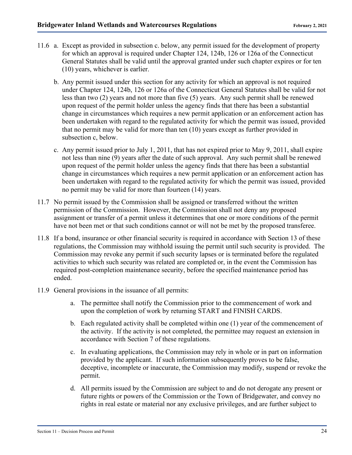- 11.6 a. Except as provided in subsection c. below, any permit issued for the development of property for which an approval is required under Chapter 124, 124b, 126 or 126a of the Connecticut General Statutes shall be valid until the approval granted under such chapter expires or for ten (10) years, whichever is earlier.
	- b. Any permit issued under this section for any activity for which an approval is not required under Chapter 124, 124b, 126 or 126a of the Connecticut General Statutes shall be valid for not less than two (2) years and not more than five (5) years. Any such permit shall be renewed upon request of the permit holder unless the agency finds that there has been a substantial change in circumstances which requires a new permit application or an enforcement action has been undertaken with regard to the regulated activity for which the permit was issued, provided that no permit may be valid for more than ten (10) years except as further provided in subsection c, below.
	- c. Any permit issued prior to July 1, 2011, that has not expired prior to May 9, 2011, shall expire not less than nine (9) years after the date of such approval. Any such permit shall be renewed upon request of the permit holder unless the agency finds that there has been a substantial change in circumstances which requires a new permit application or an enforcement action has been undertaken with regard to the regulated activity for which the permit was issued, provided no permit may be valid for more than fourteen (14) years.
- 11.7 No permit issued by the Commission shall be assigned or transferred without the written permission of the Commission. However, the Commission shall not deny any proposed assignment or transfer of a permit unless it determines that one or more conditions of the permit have not been met or that such conditions cannot or will not be met by the proposed transferee.
- 11.8 If a bond, insurance or other financial security is required in accordance with Section 13 of these regulations, the Commission may withhold issuing the permit until such security is provided. The Commission may revoke any permit if such security lapses or is terminated before the regulated activities to which such security was related are completed or, in the event the Commission has required post-completion maintenance security, before the specified maintenance period has ended.
- 11.9 General provisions in the issuance of all permits:
	- a. The permittee shall notify the Commission prior to the commencement of work and upon the completion of work by returning START and FINISH CARDS.
	- b. Each regulated activity shall be completed within one (1) year of the commencement of the activity. If the activity is not completed, the permittee may request an extension in accordance with Section 7 of these regulations.
	- c. In evaluating applications, the Commission may rely in whole or in part on information provided by the applicant. If such information subsequently proves to be false, deceptive, incomplete or inaccurate, the Commission may modify, suspend or revoke the permit.
	- d. All permits issued by the Commission are subject to and do not derogate any present or future rights or powers of the Commission or the Town of Bridgewater, and convey no rights in real estate or material nor any exclusive privileges, and are further subject to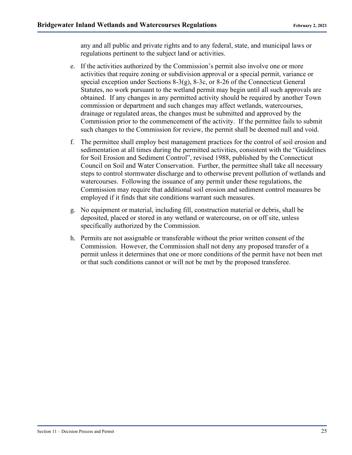any and all public and private rights and to any federal, state, and municipal laws or regulations pertinent to the subject land or activities.

- e. If the activities authorized by the Commission's permit also involve one or more activities that require zoning or subdivision approval or a special permit, variance or special exception under Sections 8-3(g), 8-3c, or 8-26 of the Connecticut General Statutes, no work pursuant to the wetland permit may begin until all such approvals are obtained. If any changes in any permitted activity should be required by another Town commission or department and such changes may affect wetlands, watercourses, drainage or regulated areas, the changes must be submitted and approved by the Commission prior to the commencement of the activity. If the permittee fails to submit such changes to the Commission for review, the permit shall be deemed null and void.
- f. The permittee shall employ best management practices for the control of soil erosion and sedimentation at all times during the permitted activities, consistent with the "Guidelines for Soil Erosion and Sediment Control", revised 1988, published by the Connecticut Council on Soil and Water Conservation. Further, the permittee shall take all necessary steps to control stormwater discharge and to otherwise prevent pollution of wetlands and watercourses. Following the issuance of any permit under these regulations, the Commission may require that additional soil erosion and sediment control measures be employed if it finds that site conditions warrant such measures.
- g. No equipment or material, including fill, construction material or debris, shall be deposited, placed or stored in any wetland or watercourse, on or off site, unless specifically authorized by the Commission.
- h. Permits are not assignable or transferable without the prior written consent of the Commission. However, the Commission shall not deny any proposed transfer of a permit unless it determines that one or more conditions of the permit have not been met or that such conditions cannot or will not be met by the proposed transferee.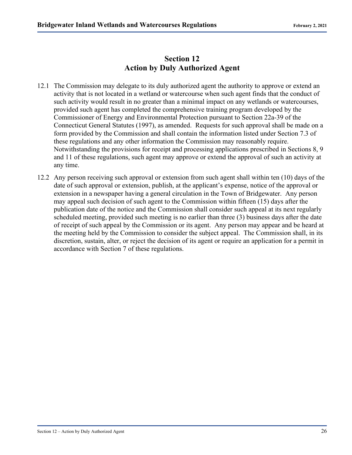#### **Section 12 Action by Duly Authorized Agent**

- 12.1 The Commission may delegate to its duly authorized agent the authority to approve or extend an activity that is not located in a wetland or watercourse when such agent finds that the conduct of such activity would result in no greater than a minimal impact on any wetlands or watercourses, provided such agent has completed the comprehensive training program developed by the Commissioner of Energy and Environmental Protection pursuant to Section 22a-39 of the Connecticut General Statutes (1997), as amended. Requests for such approval shall be made on a form provided by the Commission and shall contain the information listed under Section 7.3 of these regulations and any other information the Commission may reasonably require. Notwithstanding the provisions for receipt and processing applications prescribed in Sections 8, 9 and 11 of these regulations, such agent may approve or extend the approval of such an activity at any time.
- 12.2 Any person receiving such approval or extension from such agent shall within ten (10) days of the date of such approval or extension, publish, at the applicant's expense, notice of the approval or extension in a newspaper having a general circulation in the Town of Bridgewater. Any person may appeal such decision of such agent to the Commission within fifteen (15) days after the publication date of the notice and the Commission shall consider such appeal at its next regularly scheduled meeting, provided such meeting is no earlier than three (3) business days after the date of receipt of such appeal by the Commission or its agent. Any person may appear and be heard at the meeting held by the Commission to consider the subject appeal. The Commission shall, in its discretion, sustain, alter, or reject the decision of its agent or require an application for a permit in accordance with Section 7 of these regulations.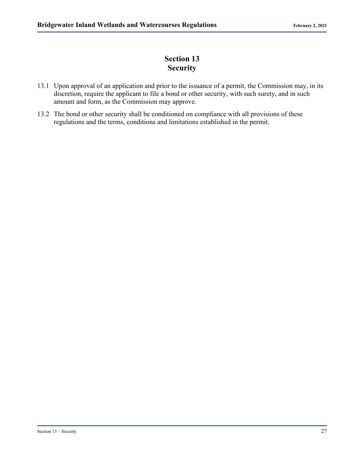# **Section 13 Security**

- 13.1 Upon approval of an application and prior to the issuance of a permit, the Commission may, in its discretion, require the applicant to file a bond or other security, with such surety, and in such amount and form, as the Commission may approve.
- 13.2 The bond or other security shall be conditioned on compliance with all provisions of these regulations and the terms, conditions and limitations established in the permit.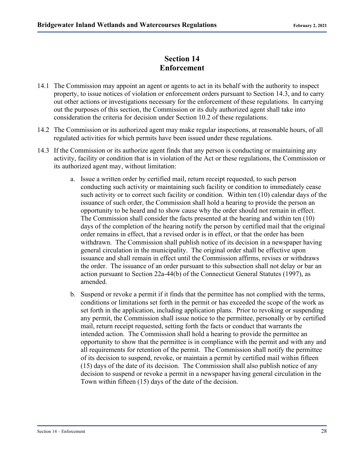#### **Section 14 Enforcement**

- 14.1 The Commission may appoint an agent or agents to act in its behalf with the authority to inspect property, to issue notices of violation or enforcement orders pursuant to Section 14.3, and to carry out other actions or investigations necessary for the enforcement of these regulations. In carrying out the purposes of this section, the Commission or its duly authorized agent shall take into consideration the criteria for decision under Section 10.2 of these regulations.
- 14.2 The Commission or its authorized agent may make regular inspections, at reasonable hours, of all regulated activities for which permits have been issued under these regulations.
- 14.3 If the Commission or its authorize agent finds that any person is conducting or maintaining any activity, facility or condition that is in violation of the Act or these regulations, the Commission or its authorized agent may, without limitation:
	- a. Issue a written order by certified mail, return receipt requested, to such person conducting such activity or maintaining such facility or condition to immediately cease such activity or to correct such facility or condition. Within ten (10) calendar days of the issuance of such order, the Commission shall hold a hearing to provide the person an opportunity to be heard and to show cause why the order should not remain in effect. The Commission shall consider the facts presented at the hearing and within ten (10) days of the completion of the hearing notify the person by certified mail that the original order remains in effect, that a revised order is in effect, or that the order has been withdrawn. The Commission shall publish notice of its decision in a newspaper having general circulation in the municipality. The original order shall be effective upon issuance and shall remain in effect until the Commission affirms, revises or withdraws the order. The issuance of an order pursuant to this subsection shall not delay or bar an action pursuant to Section 22a-44(b) of the Connecticut General Statutes (1997), as amended.
	- b. Suspend or revoke a permit if it finds that the permittee has not complied with the terms, conditions or limitations set forth in the permit or has exceeded the scope of the work as set forth in the application, including application plans. Prior to revoking or suspending any permit, the Commission shall issue notice to the permittee, personally or by certified mail, return receipt requested, setting forth the facts or conduct that warrants the intended action. The Commission shall hold a hearing to provide the permittee an opportunity to show that the permittee is in compliance with the permit and with any and all requirements for retention of the permit. The Commission shall notify the permittee of its decision to suspend, revoke, or maintain a permit by certified mail within fifteen (15) days of the date of its decision. The Commission shall also publish notice of any decision to suspend or revoke a permit in a newspaper having general circulation in the Town within fifteen (15) days of the date of the decision.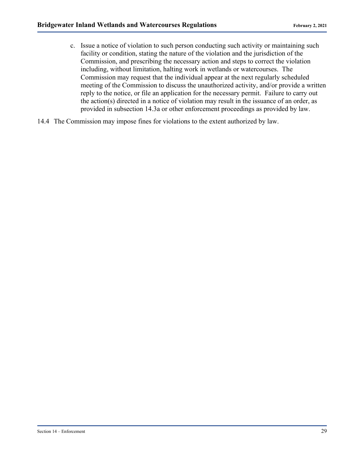- c. Issue a notice of violation to such person conducting such activity or maintaining such facility or condition, stating the nature of the violation and the jurisdiction of the Commission, and prescribing the necessary action and steps to correct the violation including, without limitation, halting work in wetlands or watercourses. The Commission may request that the individual appear at the next regularly scheduled meeting of the Commission to discuss the unauthorized activity, and/or provide a written reply to the notice, or file an application for the necessary permit. Failure to carry out the action(s) directed in a notice of violation may result in the issuance of an order, as provided in subsection 14.3a or other enforcement proceedings as provided by law.
- 14.4 The Commission may impose fines for violations to the extent authorized by law.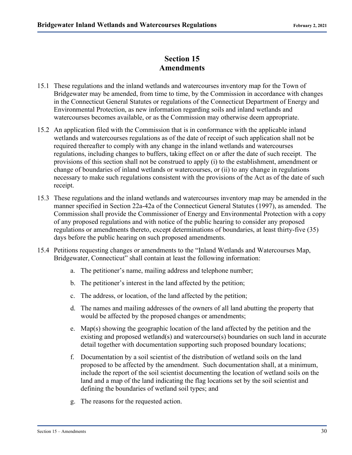#### **Section 15 Amendments**

- 15.1 These regulations and the inland wetlands and watercourses inventory map for the Town of Bridgewater may be amended, from time to time, by the Commission in accordance with changes in the Connecticut General Statutes or regulations of the Connecticut Department of Energy and Environmental Protection, as new information regarding soils and inland wetlands and watercourses becomes available, or as the Commission may otherwise deem appropriate.
- 15.2 An application filed with the Commission that is in conformance with the applicable inland wetlands and watercourses regulations as of the date of receipt of such application shall not be required thereafter to comply with any change in the inland wetlands and watercourses regulations, including changes to buffers, taking effect on or after the date of such receipt. The provisions of this section shall not be construed to apply (i) to the establishment, amendment or change of boundaries of inland wetlands or watercourses, or (ii) to any change in regulations necessary to make such regulations consistent with the provisions of the Act as of the date of such receipt.
- 15.3 These regulations and the inland wetlands and watercourses inventory map may be amended in the manner specified in Section 22a-42a of the Connecticut General Statutes (1997), as amended. The Commission shall provide the Commissioner of Energy and Environmental Protection with a copy of any proposed regulations and with notice of the public hearing to consider any proposed regulations or amendments thereto, except determinations of boundaries, at least thirty-five (35) days before the public hearing on such proposed amendments.
- 15.4 Petitions requesting changes or amendments to the "Inland Wetlands and Watercourses Map, Bridgewater, Connecticut" shall contain at least the following information:
	- a. The petitioner's name, mailing address and telephone number;
	- b. The petitioner's interest in the land affected by the petition;
	- c. The address, or location, of the land affected by the petition;
	- d. The names and mailing addresses of the owners of all land abutting the property that would be affected by the proposed changes or amendments;
	- e. Map(s) showing the geographic location of the land affected by the petition and the existing and proposed wetland(s) and watercourse(s) boundaries on such land in accurate detail together with documentation supporting such proposed boundary locations;
	- f. Documentation by a soil scientist of the distribution of wetland soils on the land proposed to be affected by the amendment. Such documentation shall, at a minimum, include the report of the soil scientist documenting the location of wetland soils on the land and a map of the land indicating the flag locations set by the soil scientist and defining the boundaries of wetland soil types; and
	- g. The reasons for the requested action.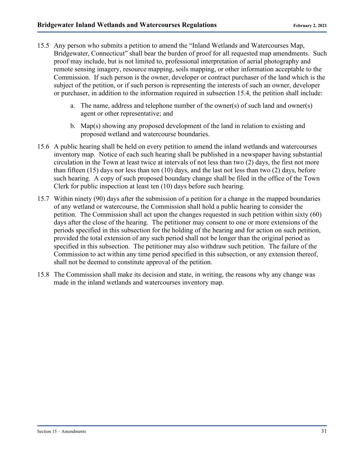- 15.5 Any person who submits a petition to amend the "Inland Wetlands and Watercourses Map, Bridgewater, Connecticut" shall bear the burden of proof for all requested map amendments. Such proof may include, but is not limited to, professional interpretation of aerial photography and remote sensing imagery, resource mapping, soils mapping, or other information acceptable to the Commission. If such person is the owner, developer or contract purchaser of the land which is the subject of the petition, or if such person is representing the interests of such an owner, developer or purchaser, in addition to the information required in subsection 15.4, the petition shall include:
	- a. The name, address and telephone number of the owner(s) of such land and owner(s) agent or other representative; and
	- b. Map(s) showing any proposed development of the land in relation to existing and proposed wetland and watercourse boundaries.
- 15.6 A public hearing shall be held on every petition to amend the inland wetlands and watercourses inventory map. Notice of each such hearing shall be published in a newspaper having substantial circulation in the Town at least twice at intervals of not less than two (2) days, the first not more than fifteen (15) days nor less than ten (10) days, and the last not less than two (2) days, before such hearing. A copy of such proposed boundary change shall be filed in the office of the Town Clerk for public inspection at least ten (10) days before such hearing.
- 15.7 Within ninety (90) days after the submission of a petition for a change in the mapped boundaries of any wetland or watercourse, the Commission shall hold a public hearing to consider the petition. The Commission shall act upon the changes requested in such petition within sixty (60) days after the close of the hearing. The petitioner may consent to one or more extensions of the periods specified in this subsection for the holding of the hearing and for action on such petition, provided the total extension of any such period shall not be longer than the original period as specified in this subsection. The petitioner may also withdraw such petition. The failure of the Commission to act within any time period specified in this subsection, or any extension thereof, shall not be deemed to constitute approval of the petition.
- 15.8 The Commission shall make its decision and state, in writing, the reasons why any change was made in the inland wetlands and watercourses inventory map.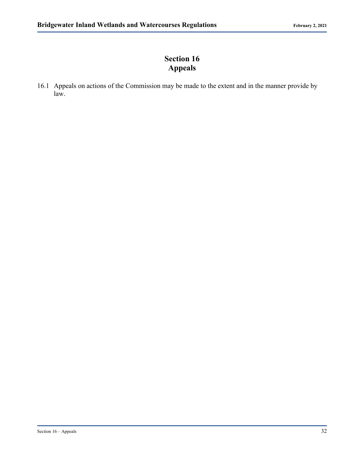# **Section 16 Appeals**

16.1 Appeals on actions of the Commission may be made to the extent and in the manner provide by law.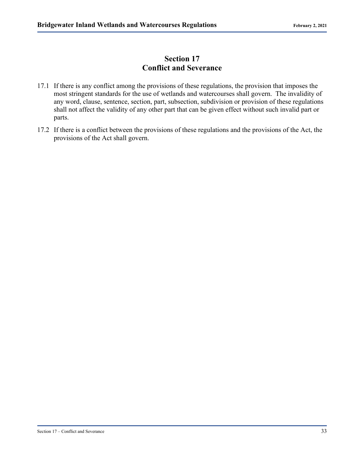## **Section 17 Conflict and Severance**

- 17.1 If there is any conflict among the provisions of these regulations, the provision that imposes the most stringent standards for the use of wetlands and watercourses shall govern. The invalidity of any word, clause, sentence, section, part, subsection, subdivision or provision of these regulations shall not affect the validity of any other part that can be given effect without such invalid part or parts.
- 17.2 If there is a conflict between the provisions of these regulations and the provisions of the Act, the provisions of the Act shall govern.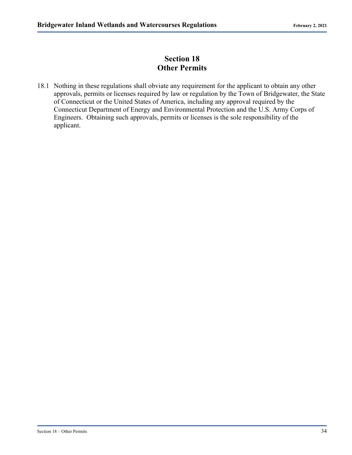# **Section 18 Other Permits**

18.1 Nothing in these regulations shall obviate any requirement for the applicant to obtain any other approvals, permits or licenses required by law or regulation by the Town of Bridgewater, the State of Connecticut or the United States of America, including any approval required by the Connecticut Department of Energy and Environmental Protection and the U.S. Army Corps of Engineers. Obtaining such approvals, permits or licenses is the sole responsibility of the applicant.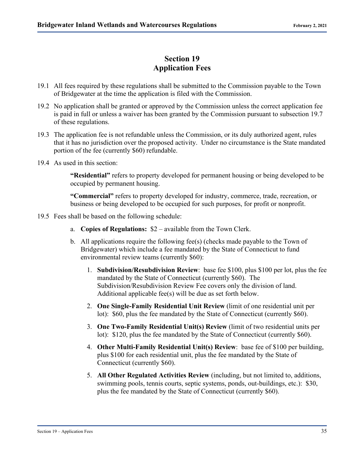#### **Section 19 Application Fees**

- 19.1 All fees required by these regulations shall be submitted to the Commission payable to the Town of Bridgewater at the time the application is filed with the Commission.
- 19.2 No application shall be granted or approved by the Commission unless the correct application fee is paid in full or unless a waiver has been granted by the Commission pursuant to subsection 19.7 of these regulations.
- 19.3 The application fee is not refundable unless the Commission, or its duly authorized agent, rules that it has no jurisdiction over the proposed activity. Under no circumstance is the State mandated portion of the fee (currently \$60) refundable.
- 19.4 As used in this section:

**"Residential"** refers to property developed for permanent housing or being developed to be occupied by permanent housing.

**"Commercial"** refers to property developed for industry, commerce, trade, recreation, or business or being developed to be occupied for such purposes, for profit or nonprofit.

- 19.5 Fees shall be based on the following schedule:
	- a. **Copies of Regulations:** \$2 available from the Town Clerk.
	- b. All applications require the following fee(s) (checks made payable to the Town of Bridgewater) which include a fee mandated by the State of Connecticut to fund environmental review teams (currently \$60):
		- 1. **Subdivision/Resubdivision Review**: base fee \$100, plus \$100 per lot, plus the fee mandated by the State of Connecticut (currently \$60). The Subdivision/Resubdivision Review Fee covers only the division of land. Additional applicable fee(s) will be due as set forth below.
		- 2. **One Single-Family Residential Unit Review** (limit of one residential unit per lot): \$60, plus the fee mandated by the State of Connecticut (currently \$60).
		- 3. **One Two-Family Residential Unit(s) Review** (limit of two residential units per lot): \$120, plus the fee mandated by the State of Connecticut (currently \$60).
		- 4. **Other Multi-Family Residential Unit(s) Review**: base fee of \$100 per building, plus \$100 for each residential unit, plus the fee mandated by the State of Connecticut (currently \$60).
		- 5. **All Other Regulated Activities Review** (including, but not limited to, additions, swimming pools, tennis courts, septic systems, ponds, out-buildings, etc.): \$30, plus the fee mandated by the State of Connecticut (currently \$60).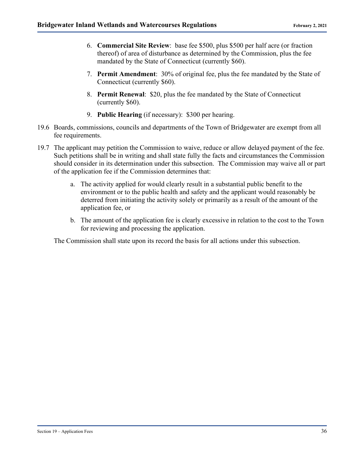- 6. **Commercial Site Review**: base fee \$500, plus \$500 per half acre (or fraction thereof) of area of disturbance as determined by the Commission, plus the fee mandated by the State of Connecticut (currently \$60).
- 7. **Permit Amendment**: 30% of original fee, plus the fee mandated by the State of Connecticut (currently \$60).
- 8. **Permit Renewal**: \$20, plus the fee mandated by the State of Connecticut (currently \$60).
- 9. **Public Hearing** (if necessary): \$300 per hearing.
- 19.6 Boards, commissions, councils and departments of the Town of Bridgewater are exempt from all fee requirements.
- 19.7 The applicant may petition the Commission to waive, reduce or allow delayed payment of the fee. Such petitions shall be in writing and shall state fully the facts and circumstances the Commission should consider in its determination under this subsection. The Commission may waive all or part of the application fee if the Commission determines that:
	- a. The activity applied for would clearly result in a substantial public benefit to the environment or to the public health and safety and the applicant would reasonably be deterred from initiating the activity solely or primarily as a result of the amount of the application fee, or
	- b. The amount of the application fee is clearly excessive in relation to the cost to the Town for reviewing and processing the application.

The Commission shall state upon its record the basis for all actions under this subsection.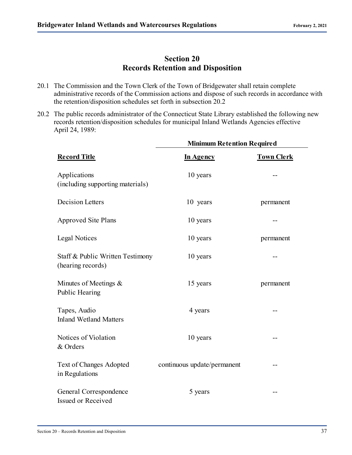## **Section 20 Records Retention and Disposition**

- 20.1 The Commission and the Town Clerk of the Town of Bridgewater shall retain complete administrative records of the Commission actions and dispose of such records in accordance with the retention/disposition schedules set forth in subsection 20.2
- 20.2 The public records administrator of the Connecticut State Library established the following new records retention/disposition schedules for municipal Inland Wetlands Agencies effective April 24, 1989:

|                                                       | <b>Minimum Retention Required</b> |                   |
|-------------------------------------------------------|-----------------------------------|-------------------|
| <b>Record Title</b>                                   | In Agency                         | <b>Town Clerk</b> |
| Applications<br>(including supporting materials)      | 10 years                          |                   |
| <b>Decision Letters</b>                               | 10 years                          | permanent         |
| <b>Approved Site Plans</b>                            | 10 years                          |                   |
| Legal Notices                                         | 10 years                          | permanent         |
| Staff & Public Written Testimony<br>(hearing records) | 10 years                          |                   |
| Minutes of Meetings &<br>Public Hearing               | 15 years                          | permanent         |
| Tapes, Audio<br><b>Inland Wetland Matters</b>         | 4 years                           |                   |
| Notices of Violation<br>& Orders                      | 10 years                          |                   |
| Text of Changes Adopted<br>in Regulations             | continuous update/permanent       |                   |
| General Correspondence<br>Issued or Received          | 5 years                           |                   |